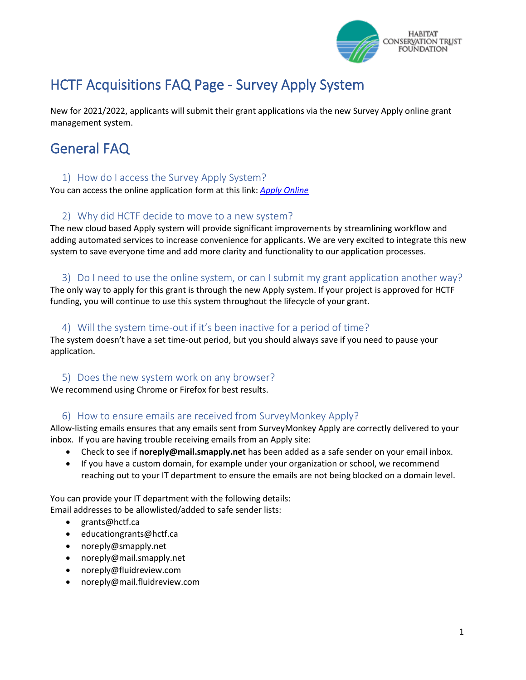

# HCTF Acquisitions FAQ Page - Survey Apply System

New for 2021/2022, applicants will submit their grant applications via the new Survey Apply online grant management system.

# General FAQ

### 1) How do I access the Survey Apply System?

You can access the online application form at this link: *[Apply Online](https://hctf-grants.smapply.ca/prog/lst/)*

# 2) Why did HCTF decide to move to a new system?

The new cloud based Apply system will provide significant improvements by streamlining workflow and adding automated services to increase convenience for applicants. We are very excited to integrate this new system to save everyone time and add more clarity and functionality to our application processes.

### 3) Do I need to use the online system, or can I submit my grant application another way?

The only way to apply for this grant is through the new Apply system. If your project is approved for HCTF funding, you will continue to use this system throughout the lifecycle of your grant.

#### 4) Will the system time-out if it's been inactive for a period of time?

The system doesn't have a set time-out period, but you should always save if you need to pause your application.

#### 5) Does the new system work on any browser?

We recommend using Chrome or Firefox for best results.

# 6) How to ensure emails are received from SurveyMonkey Apply?

Allow-listing emails ensures that any emails sent from SurveyMonkey Apply are correctly delivered to your inbox. If you are having trouble receiving emails from an Apply site:

- Check to see if **noreply@mail.smapply.net** has been added as a safe sender on your email inbox.
- If you have a custom domain, for example under your organization or school, we recommend reaching out to your IT department to ensure the emails are not being blocked on a domain level.

You can provide your IT department with the following details: Email addresses to be allowlisted/added to safe sender lists:

- grants@hctf.ca
- educationgrants@hctf.ca
- noreply@smapply.net
- noreply@mail.smapply.net
- noreply@fluidreview.com
- noreply@mail.fluidreview.com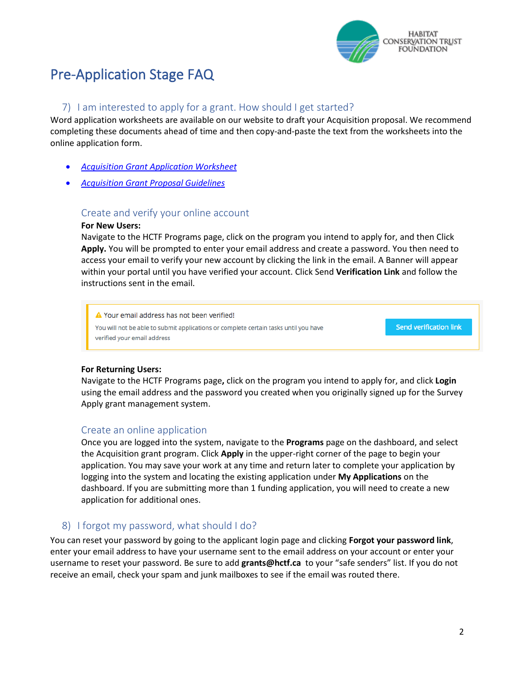

# Pre-Application Stage FAQ

## 7) I am interested to apply for a grant. How should I get started?

Word application worksheets are available on our website to draft your Acquisition proposal. We recommend completing these documents ahead of time and then copy-and-paste the text from the worksheets into the online application form.

- *[Acquisition Grant Application Worksheet](https://hctf.ca/wp-content/uploads/2020/02/HCTF-Acquisition-Word-Worksheet-2021-22.docx)*
- *[Acquisition Grant Proposal Guidelines](https://hctf.ca/wp-content/uploads/2020/02/HCTF-Acquisition-Proposal-Guidelines-2021-22.pdf)*

#### Create and verify your online account

#### **For New Users:**

Navigate to the HCTF Programs page, click on the program you intend to apply for, and then Click **Apply.** You will be prompted to enter your email address and create a password. You then need to access your email to verify your new account by clicking the link in the email. A Banner will appear within your portal until you have verified your account. Click Send **Verification Link** and follow the instructions sent in the email.

A Your email address has not been verified! **Send verification link** You will not be able to submit applications or complete certain tasks until you have verified your email address

#### **For Returning Users:**

Navigate to the HCTF Programs page**,** click on the program you intend to apply for, and click **Login** using the email address and the password you created when you originally signed up for the Survey Apply grant management system.

#### Create an online application

Once you are logged into the system, navigate to the **Programs** page on the dashboard, and select the Acquisition grant program. Click **Apply** in the upper-right corner of the page to begin your application. You may save your work at any time and return later to complete your application by logging into the system and locating the existing application under **My Applications** on the dashboard. If you are submitting more than 1 funding application, you will need to create a new application for additional ones.

#### 8) I forgot my password, what should I do?

You can reset your password by going to the applicant login page and clicking **Forgot your password link**, enter your email address to have your username sent to the email address on your account or enter your username to reset your password. Be sure to add **[grants@hctf.ca](mailto:grants@hctf.ca)** to your "safe senders" list. If you do not receive an email, check your spam and junk mailboxes to see if the email was routed there.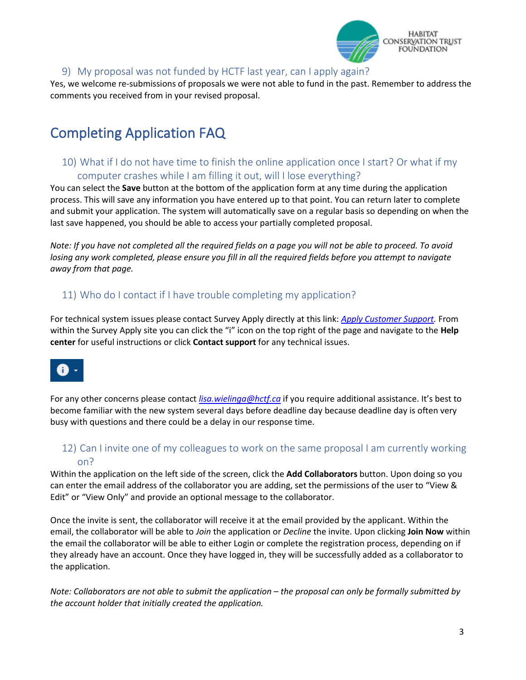

### 9) My proposal was not funded by HCTF last year, can I apply again?

Yes, we welcome re-submissions of proposals we were not able to fund in the past. Remember to address the comments you received from in your revised proposal.

# Completing Application FAQ

# 10) What if I do not have time to finish the online application once I start? Or what if my computer crashes while I am filling it out, will I lose everything?

You can select the **Save** button at the bottom of the application form at any time during the application process. This will save any information you have entered up to that point. You can return later to complete and submit your application. The system will automatically save on a regular basis so depending on when the last save happened, you should be able to access your partially completed proposal.

*Note: If you have not completed all the required fields on a page you will not be able to proceed. To avoid losing any work completed, please ensure you fill in all the required fields before you attempt to navigate away from that page.*

# 11) Who do I contact if I have trouble completing my application?

For technical system issues please contact Survey Apply directly at this link: *[Apply Customer Support.](https://hctf-grants.smapply.ca/helpdesk/)* From within the Survey Apply site you can click the "i" icon on the top right of the page and navigate to the **Help center** for useful instructions or click **Contact support** for any technical issues.



For any other concerns please contact *[lisa.wielinga@hctf.ca](mailto:lisa.wielinga@hctf.ca)* if you require additional assistance. It's best to become familiar with the new system several days before deadline day because deadline day is often very busy with questions and there could be a delay in our response time.

# 12) Can I invite one of my colleagues to work on the same proposal I am currently working on?

Within the application on the left side of the screen, click the **Add Collaborators** button. Upon doing so you can enter the email address of the collaborator you are adding, set the permissions of the user to "View & Edit" or "View Only" and provide an optional message to the collaborator.

Once the invite is sent, the collaborator will receive it at the email provided by the applicant. Within the email, the collaborator will be able to *Join* the application or *Decline* the invite. Upon clicking **Join Now** within the email the collaborator will be able to either Login or complete the registration process, depending on if they already have an account. Once they have logged in, they will be successfully added as a collaborator to the application.

*Note: Collaborators are not able to submit the application – the proposal can only be formally submitted by the account holder that initially created the application.*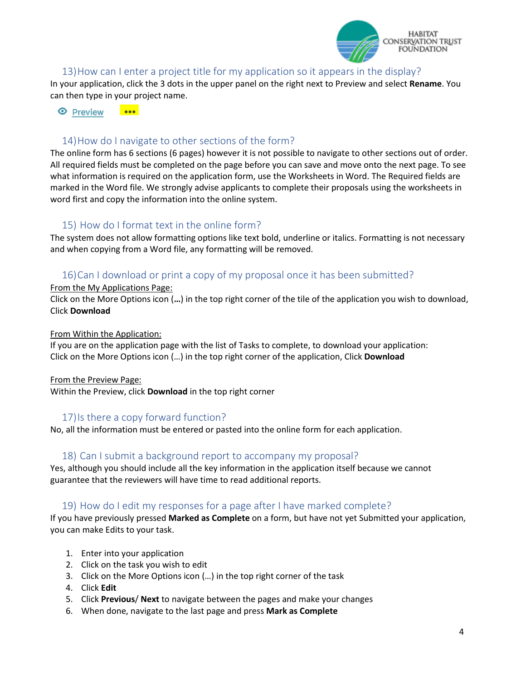

#### 13)How can I enter a project title for my application so it appears in the display?

In your application, click the 3 dots in the upper panel on the right next to Preview and select **Rename**. You can then type in your project name.

#### $\overline{\phantom{a}}$ **E** Preview

## 14)How do I navigate to other sections of the form?

The online form has 6 sections (6 pages) however it is not possible to navigate to other sections out of order. All required fields must be completed on the page before you can save and move onto the next page. To see what information is required on the application form, use the Worksheets in Word. The Required fields are marked in the Word file. We strongly advise applicants to complete their proposals using the worksheets in word first and copy the information into the online system.

#### 15) How do I format text in the online form?

The system does not allow formatting options like text bold, underline or italics. Formatting is not necessary and when copying from a Word file, any formatting will be removed.

### 16)Can I download or print a copy of my proposal once it has been submitted?

#### From the My Applications Page:

Click on the More Options icon (**…**) in the top right corner of the tile of the application you wish to download, Click **Download**

#### From Within the Application:

If you are on the application page with the list of Tasks to complete, to download your application: Click on the More Options icon (…) in the top right corner of the application, Click **Download**

From the Preview Page:

Within the Preview, click **Download** in the top right corner

#### 17)Is there a copy forward function?

No, all the information must be entered or pasted into the online form for each application.

#### 18) Can I submit a background report to accompany my proposal?

Yes, although you should include all the key information in the application itself because we cannot guarantee that the reviewers will have time to read additional reports.

#### 19) How do I edit my responses for a page after I have marked complete?

If you have previously pressed **Marked as Complete** on a form, but have not yet Submitted your application, you can make Edits to your task.

- 1. Enter into your application
- 2. Click on the task you wish to edit
- 3. Click on the More Options icon (…) in the top right corner of the task
- 4. Click **Edit**
- 5. Click **Previous**/ **Next** to navigate between the pages and make your changes
- 6. When done, navigate to the last page and press **Mark as Complete**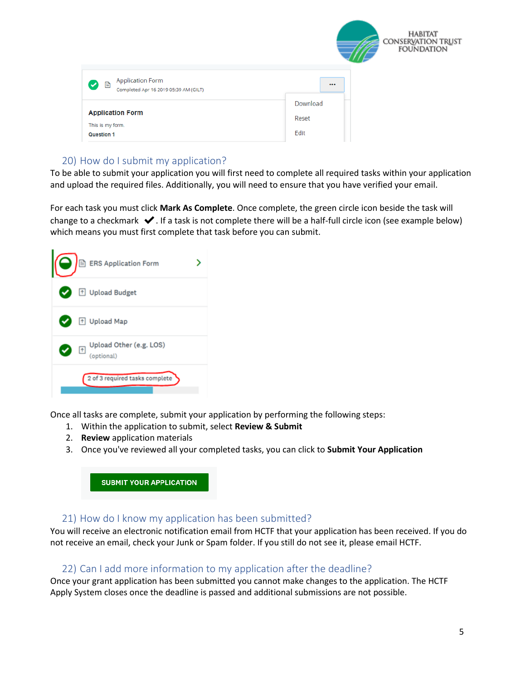|                                                                         | <b>HABITAT</b><br>CONSERVATION TRUST<br>FOUNDATION |
|-------------------------------------------------------------------------|----------------------------------------------------|
| <b>Application Form</b><br>Ø B<br>Completed Apr 16 2019 05:39 AM (GILT) | $\cdots$                                           |
| <b>Application Form</b><br>This is my form.<br>Question 1               | Download<br>Reset<br>Edit                          |

# 20) How do I submit my application?

To be able to submit your application you will first need to complete all required tasks within your application and upload the required files. Additionally, you will need to ensure that you have verified your email.

For each task you must click **Mark As Complete**. Once complete, the green circle icon beside the task will change to a checkmark  $\blacktriangleright$ . If a task is not complete there will be a half-full circle icon (see example below) which means you must first complete that task before you can submit.



Once all tasks are complete, submit your application by performing the following steps:

- 1. Within the application to submit, select **Review & Submit**
- 2. **Review** application materials
- 3. Once you've reviewed all your completed tasks, you can click to **Submit Your Application**

**SUBMIT YOUR APPLICATION** 

# 21) How do I know my application has been submitted?

You will receive an electronic notification email from HCTF that your application has been received. If you do not receive an email, check your Junk or Spam folder. If you still do not see it, please email HCTF.

# 22) Can I add more information to my application after the deadline?

Once your grant application has been submitted you cannot make changes to the application. The HCTF Apply System closes once the deadline is passed and additional submissions are not possible.